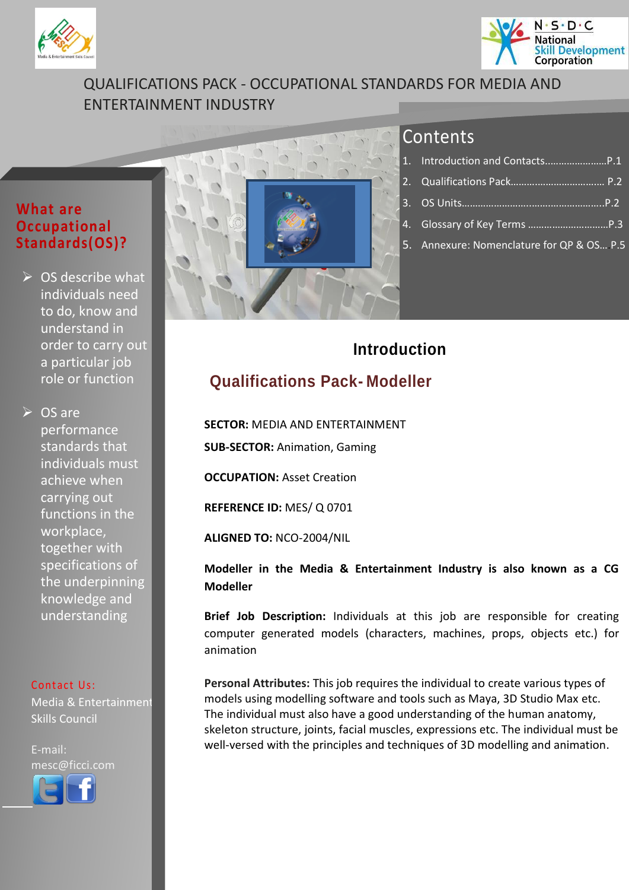<span id="page-0-1"></span>



## QUALIFICATIONS PACK - OCCUPATIONAL STANDARDS FOR MEDIA AND ENTERTAINMENT INDUSTRY

## **What are Occupational Standards(OS)?**

 $\triangleright$  OS describe what individuals need to do, know and understand in order to carry out a particular job role or function

 $\triangleright$  OS are performance standards that individuals must achieve when carrying out functions in the workplace, together with specifications of the underpinning knowledge and understanding

#### Contact Us:

Media & Entertainment Skills Council

E-mail: mesc@ficci.com

l



## Contents

| 5. Annexure: Nomenclature for QP & OS P.5 |
|-------------------------------------------|

## **Introduction**

## <span id="page-0-0"></span>**Qualifications Pack- Modeller**

**SECTOR:** MEDIA AND ENTERTAINMENT

**SUB-SECTOR:** Animation, Gaming

**OCCUPATION: Asset Creation** 

**REFERENCE ID:** MES/ Q 0701

**ALIGNED TO:** NCO-2004/NIL

**Modeller in the Media & Entertainment Industry is also known as a CG Modeller**

**Brief Job Description:** Individuals at this job are responsible for creating computer generated models (characters, machines, props, objects etc.) for animation

**Personal Attributes:** This job requires the individual to create various types of models using modelling software and tools such as Maya, 3D Studio Max etc. The individual must also have a good understanding of the human anatomy, skeleton structure, joints, facial muscles, expressions etc. The individual must be well-versed with the principles and techniques of 3D modelling and animation.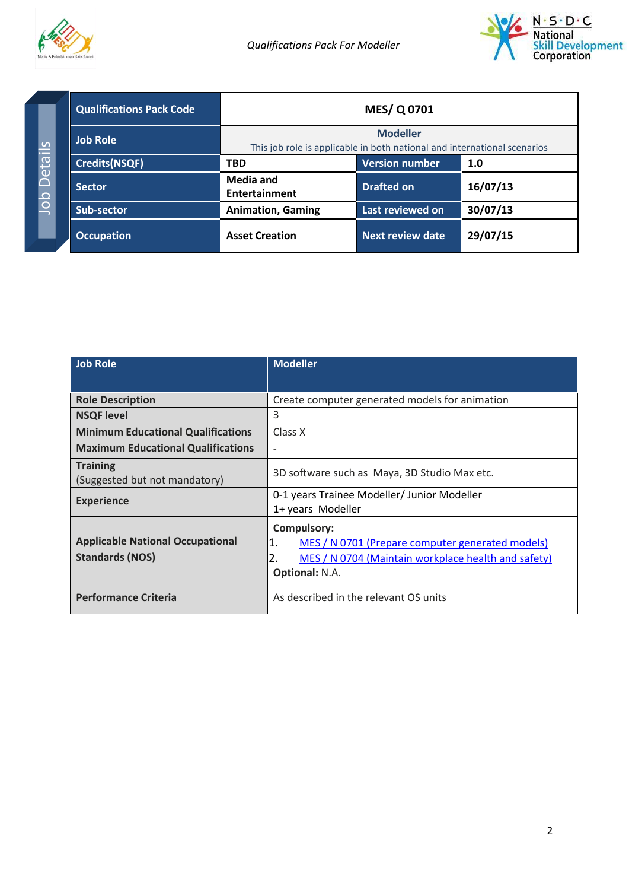



Job Details Job Details

<span id="page-1-1"></span><span id="page-1-0"></span>

| <b>Qualifications Pack Code</b> | <b>MES/Q0701</b>                                                                            |                         |          |
|---------------------------------|---------------------------------------------------------------------------------------------|-------------------------|----------|
| <b>Job Role</b>                 | <b>Modeller</b><br>This job role is applicable in both national and international scenarios |                         |          |
| <b>Credits(NSQF)</b>            | <b>TBD</b>                                                                                  | <b>Version number</b>   | 1.0      |
| <b>Sector</b>                   | Media and<br><b>Entertainment</b>                                                           | <b>Drafted on</b>       | 16/07/13 |
| Sub-sector                      | <b>Animation, Gaming</b>                                                                    | Last reviewed on        | 30/07/13 |
| <b>Occupation</b>               | <b>Asset Creation</b>                                                                       | <b>Next review date</b> | 29/07/15 |

| <b>Job Role</b>                                                   | <b>Modeller</b>                                                                                                                                             |  |
|-------------------------------------------------------------------|-------------------------------------------------------------------------------------------------------------------------------------------------------------|--|
|                                                                   |                                                                                                                                                             |  |
| <b>Role Description</b>                                           | Create computer generated models for animation                                                                                                              |  |
| 3<br><b>NSQF level</b>                                            |                                                                                                                                                             |  |
| <b>Minimum Educational Qualifications</b>                         | Class X                                                                                                                                                     |  |
| <b>Maximum Educational Qualifications</b>                         |                                                                                                                                                             |  |
| <b>Training</b><br>(Suggested but not mandatory)                  | 3D software such as Maya, 3D Studio Max etc.                                                                                                                |  |
| <b>Experience</b>                                                 | 0-1 years Trainee Modeller/ Junior Modeller<br>1+ years Modeller                                                                                            |  |
| <b>Applicable National Occupational</b><br><b>Standards (NOS)</b> | Compulsory:<br>MES / N 0701 (Prepare computer generated models)<br>1.<br>2.<br>MES / N 0704 (Maintain workplace health and safety)<br><b>Optional: N.A.</b> |  |
| <b>Performance Criteria</b>                                       | As described in the relevant OS units                                                                                                                       |  |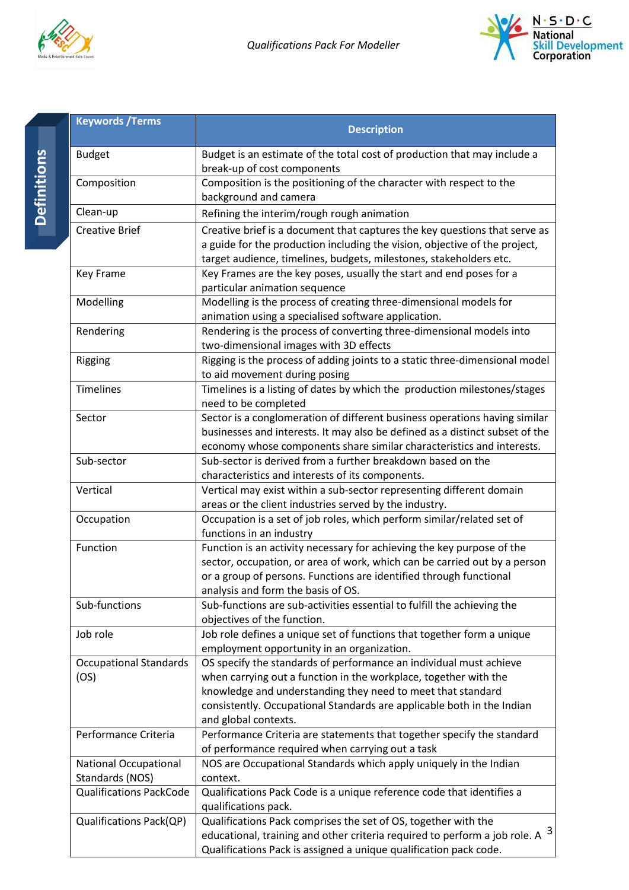



| <b>Keywords / Terms</b>                         | <b>Description</b>                                                                                                                                                                                                                                                                                      |
|-------------------------------------------------|---------------------------------------------------------------------------------------------------------------------------------------------------------------------------------------------------------------------------------------------------------------------------------------------------------|
| <b>Budget</b>                                   | Budget is an estimate of the total cost of production that may include a<br>break-up of cost components                                                                                                                                                                                                 |
| Composition                                     | Composition is the positioning of the character with respect to the<br>background and camera                                                                                                                                                                                                            |
| Clean-up                                        | Refining the interim/rough rough animation                                                                                                                                                                                                                                                              |
| <b>Creative Brief</b>                           | Creative brief is a document that captures the key questions that serve as<br>a guide for the production including the vision, objective of the project,<br>target audience, timelines, budgets, milestones, stakeholders etc.                                                                          |
| <b>Key Frame</b>                                | Key Frames are the key poses, usually the start and end poses for a<br>particular animation sequence                                                                                                                                                                                                    |
| Modelling                                       | Modelling is the process of creating three-dimensional models for<br>animation using a specialised software application.                                                                                                                                                                                |
| Rendering                                       | Rendering is the process of converting three-dimensional models into<br>two-dimensional images with 3D effects                                                                                                                                                                                          |
| Rigging                                         | Rigging is the process of adding joints to a static three-dimensional model<br>to aid movement during posing                                                                                                                                                                                            |
| <b>Timelines</b>                                | Timelines is a listing of dates by which the production milestones/stages<br>need to be completed                                                                                                                                                                                                       |
| Sector                                          | Sector is a conglomeration of different business operations having similar<br>businesses and interests. It may also be defined as a distinct subset of the<br>economy whose components share similar characteristics and interests.                                                                     |
| Sub-sector                                      | Sub-sector is derived from a further breakdown based on the<br>characteristics and interests of its components.                                                                                                                                                                                         |
| Vertical                                        | Vertical may exist within a sub-sector representing different domain<br>areas or the client industries served by the industry.                                                                                                                                                                          |
| Occupation                                      | Occupation is a set of job roles, which perform similar/related set of<br>functions in an industry                                                                                                                                                                                                      |
| Function                                        | Function is an activity necessary for achieving the key purpose of the<br>sector, occupation, or area of work, which can be carried out by a person<br>or a group of persons. Functions are identified through functional<br>analysis and form the basis of OS.                                         |
| Sub-functions                                   | Sub-functions are sub-activities essential to fulfill the achieving the<br>objectives of the function.                                                                                                                                                                                                  |
| Job role                                        | Job role defines a unique set of functions that together form a unique<br>employment opportunity in an organization.                                                                                                                                                                                    |
| <b>Occupational Standards</b><br>(OS)           | OS specify the standards of performance an individual must achieve<br>when carrying out a function in the workplace, together with the<br>knowledge and understanding they need to meet that standard<br>consistently. Occupational Standards are applicable both in the Indian<br>and global contexts. |
| Performance Criteria                            | Performance Criteria are statements that together specify the standard<br>of performance required when carrying out a task                                                                                                                                                                              |
| <b>National Occupational</b><br>Standards (NOS) | NOS are Occupational Standards which apply uniquely in the Indian<br>context.                                                                                                                                                                                                                           |
| <b>Qualifications PackCode</b>                  | Qualifications Pack Code is a unique reference code that identifies a<br>qualifications pack.                                                                                                                                                                                                           |
| <b>Qualifications Pack(QP)</b>                  | Qualifications Pack comprises the set of OS, together with the<br>educational, training and other criteria required to perform a job role. A $3$<br>Qualifications Pack is assigned a unique qualification pack code.                                                                                   |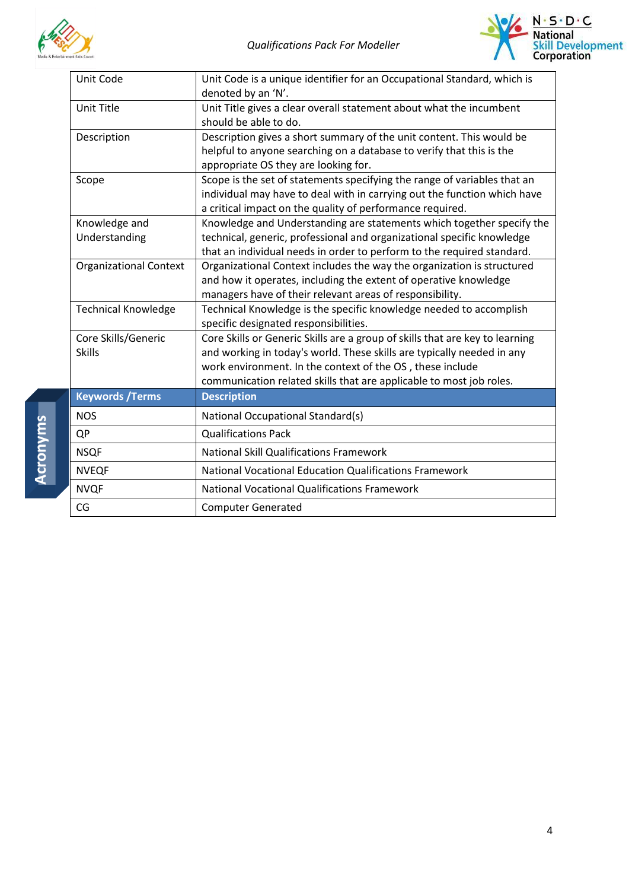



| Unit Code                            | Unit Code is a unique identifier for an Occupational Standard, which is<br>denoted by an 'N'.                                                                                                                                                                                              |  |  |
|--------------------------------------|--------------------------------------------------------------------------------------------------------------------------------------------------------------------------------------------------------------------------------------------------------------------------------------------|--|--|
| Unit Title                           | Unit Title gives a clear overall statement about what the incumbent<br>should be able to do.                                                                                                                                                                                               |  |  |
| Description                          | Description gives a short summary of the unit content. This would be<br>helpful to anyone searching on a database to verify that this is the<br>appropriate OS they are looking for.                                                                                                       |  |  |
| Scope                                | Scope is the set of statements specifying the range of variables that an<br>individual may have to deal with in carrying out the function which have<br>a critical impact on the quality of performance required.                                                                          |  |  |
| Knowledge and<br>Understanding       | Knowledge and Understanding are statements which together specify the<br>technical, generic, professional and organizational specific knowledge<br>that an individual needs in order to perform to the required standard.                                                                  |  |  |
| <b>Organizational Context</b>        | Organizational Context includes the way the organization is structured<br>and how it operates, including the extent of operative knowledge<br>managers have of their relevant areas of responsibility.                                                                                     |  |  |
| <b>Technical Knowledge</b>           | Technical Knowledge is the specific knowledge needed to accomplish<br>specific designated responsibilities.                                                                                                                                                                                |  |  |
| Core Skills/Generic<br><b>Skills</b> | Core Skills or Generic Skills are a group of skills that are key to learning<br>and working in today's world. These skills are typically needed in any<br>work environment. In the context of the OS, these include<br>communication related skills that are applicable to most job roles. |  |  |
| <b>Keywords / Terms</b>              | <b>Description</b>                                                                                                                                                                                                                                                                         |  |  |
| <b>NOS</b>                           | National Occupational Standard(s)                                                                                                                                                                                                                                                          |  |  |
| QP                                   | <b>Qualifications Pack</b>                                                                                                                                                                                                                                                                 |  |  |
| <b>NSQF</b>                          | <b>National Skill Qualifications Framework</b>                                                                                                                                                                                                                                             |  |  |
| <b>NVEQF</b>                         | National Vocational Education Qualifications Framework                                                                                                                                                                                                                                     |  |  |
| <b>NVQF</b>                          | <b>National Vocational Qualifications Framework</b>                                                                                                                                                                                                                                        |  |  |
| CG                                   | <b>Computer Generated</b>                                                                                                                                                                                                                                                                  |  |  |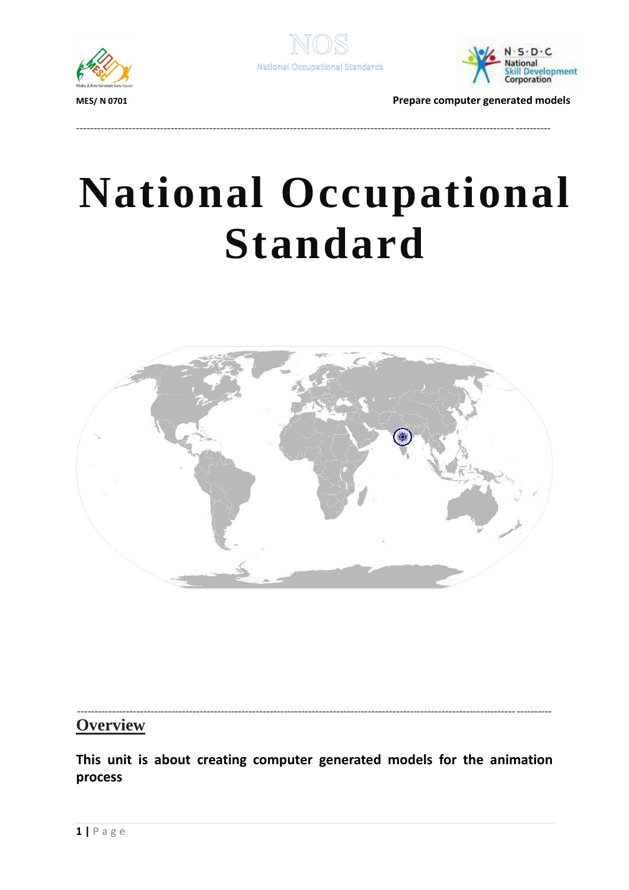



---------------------------------------------------------------------------------------------------------------------------------------



**MES/ N 0701 Prepare computer generated models**

# **National Occupational Standard**

<span id="page-4-0"></span>

#### --------------------------------------------------------------------------------------------------------------------------------------- **Overview**

**This unit is about creating computer generated models for the animation process**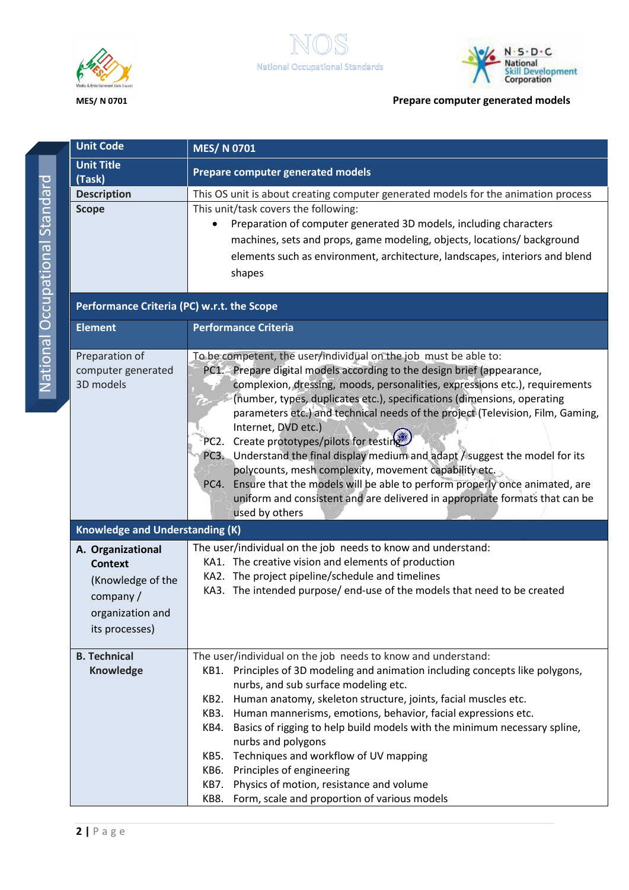

<span id="page-5-0"></span>



| <b>Unit Code</b>                                                                                            | <b>MES/N0701</b>                                                                                                                                                                                                                                                                                                                                                                                                                                                                                                                                                                                                                                                                                                                                                                                             |  |  |  |  |
|-------------------------------------------------------------------------------------------------------------|--------------------------------------------------------------------------------------------------------------------------------------------------------------------------------------------------------------------------------------------------------------------------------------------------------------------------------------------------------------------------------------------------------------------------------------------------------------------------------------------------------------------------------------------------------------------------------------------------------------------------------------------------------------------------------------------------------------------------------------------------------------------------------------------------------------|--|--|--|--|
| <b>Unit Title</b><br>(Task)                                                                                 | Prepare computer generated models                                                                                                                                                                                                                                                                                                                                                                                                                                                                                                                                                                                                                                                                                                                                                                            |  |  |  |  |
| <b>Description</b>                                                                                          | This OS unit is about creating computer generated models for the animation process                                                                                                                                                                                                                                                                                                                                                                                                                                                                                                                                                                                                                                                                                                                           |  |  |  |  |
| <b>Scope</b>                                                                                                | This unit/task covers the following:<br>Preparation of computer generated 3D models, including characters<br>machines, sets and props, game modeling, objects, locations/ background<br>elements such as environment, architecture, landscapes, interiors and blend<br>shapes                                                                                                                                                                                                                                                                                                                                                                                                                                                                                                                                |  |  |  |  |
| Performance Criteria (PC) w.r.t. the Scope                                                                  |                                                                                                                                                                                                                                                                                                                                                                                                                                                                                                                                                                                                                                                                                                                                                                                                              |  |  |  |  |
| <b>Element</b>                                                                                              | <b>Performance Criteria</b>                                                                                                                                                                                                                                                                                                                                                                                                                                                                                                                                                                                                                                                                                                                                                                                  |  |  |  |  |
| Preparation of<br>computer generated<br>3D models                                                           | To be competent, the user/individual on the job must be able to:<br>PC1. Prepare digital models according to the design brief (appearance,<br>complexion, dressing, moods, personalities, expressions etc.), requirements<br>(number, types, duplicates etc.), specifications (dimensions, operating<br>parameters etc.) and technical needs of the project (Television, Film, Gaming,<br>Internet, DVD etc.)<br>Create prototypes/pilots for testing<br>PC <sub>2</sub> .<br>PC3. Understand the final display medium and adapt / suggest the model for its<br>polycounts, mesh complexity, movement capability etc.<br>Ensure that the models will be able to perform properly once animated, are<br>PC4.<br>uniform and consistent and are delivered in appropriate formats that can be<br>used by others |  |  |  |  |
| <b>Knowledge and Understanding (K)</b>                                                                      |                                                                                                                                                                                                                                                                                                                                                                                                                                                                                                                                                                                                                                                                                                                                                                                                              |  |  |  |  |
| A. Organizational<br><b>Context</b><br>(Knowledge of the<br>company /<br>organization and<br>its processes) | The user/individual on the job needs to know and understand:<br>KA1. The creative vision and elements of production<br>KA2. The project pipeline/schedule and timelines<br>KA3. The intended purpose/ end-use of the models that need to be created                                                                                                                                                                                                                                                                                                                                                                                                                                                                                                                                                          |  |  |  |  |
| <b>B. Technical</b><br><b>Knowledge</b>                                                                     | The user/individual on the job needs to know and understand:<br>KB1. Principles of 3D modeling and animation including concepts like polygons,<br>nurbs, and sub surface modeling etc.<br>KB2. Human anatomy, skeleton structure, joints, facial muscles etc.<br>KB3. Human mannerisms, emotions, behavior, facial expressions etc.<br>Basics of rigging to help build models with the minimum necessary spline,<br>KB4.<br>nurbs and polygons<br>KB5. Techniques and workflow of UV mapping<br>KB6. Principles of engineering<br>Physics of motion, resistance and volume<br>KB7.<br>Form, scale and proportion of various models<br>KB8.                                                                                                                                                                   |  |  |  |  |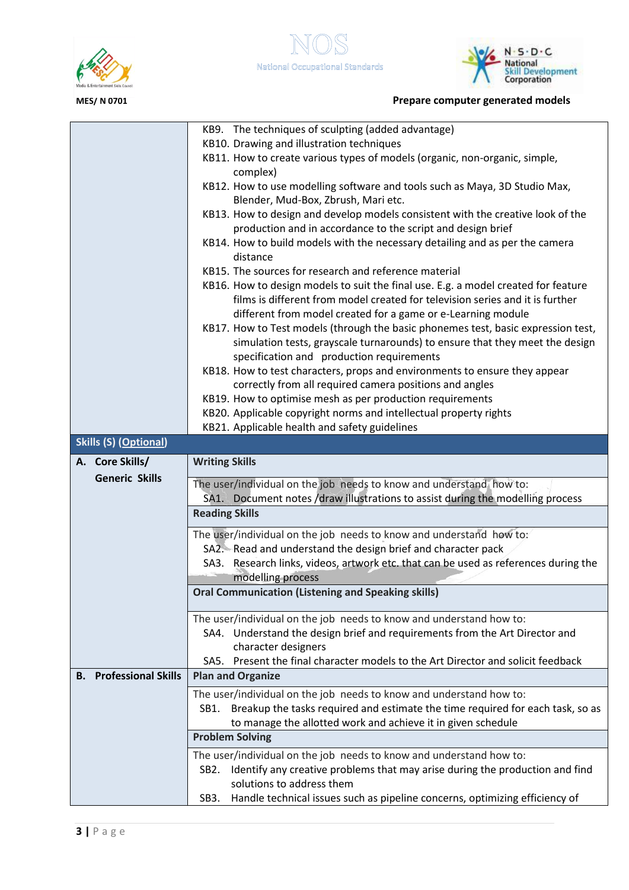



|                                                                                                                                | KB9. The techniques of sculpting (added advantage)                                                                                                                |  |  |  |
|--------------------------------------------------------------------------------------------------------------------------------|-------------------------------------------------------------------------------------------------------------------------------------------------------------------|--|--|--|
|                                                                                                                                | KB10. Drawing and illustration techniques                                                                                                                         |  |  |  |
|                                                                                                                                | KB11. How to create various types of models (organic, non-organic, simple,                                                                                        |  |  |  |
|                                                                                                                                | complex)                                                                                                                                                          |  |  |  |
|                                                                                                                                | KB12. How to use modelling software and tools such as Maya, 3D Studio Max,                                                                                        |  |  |  |
|                                                                                                                                | Blender, Mud-Box, Zbrush, Mari etc.                                                                                                                               |  |  |  |
|                                                                                                                                | KB13. How to design and develop models consistent with the creative look of the                                                                                   |  |  |  |
| production and in accordance to the script and design brief                                                                    |                                                                                                                                                                   |  |  |  |
|                                                                                                                                | KB14. How to build models with the necessary detailing and as per the camera                                                                                      |  |  |  |
|                                                                                                                                | distance                                                                                                                                                          |  |  |  |
| KB15. The sources for research and reference material                                                                          |                                                                                                                                                                   |  |  |  |
| KB16. How to design models to suit the final use. E.g. a model created for feature                                             |                                                                                                                                                                   |  |  |  |
| films is different from model created for television series and it is further                                                  |                                                                                                                                                                   |  |  |  |
|                                                                                                                                | different from model created for a game or e-Learning module                                                                                                      |  |  |  |
|                                                                                                                                | KB17. How to Test models (through the basic phonemes test, basic expression test,<br>simulation tests, grayscale turnarounds) to ensure that they meet the design |  |  |  |
|                                                                                                                                | specification and production requirements                                                                                                                         |  |  |  |
|                                                                                                                                | KB18. How to test characters, props and environments to ensure they appear                                                                                        |  |  |  |
|                                                                                                                                |                                                                                                                                                                   |  |  |  |
| correctly from all required camera positions and angles                                                                        |                                                                                                                                                                   |  |  |  |
| KB19. How to optimise mesh as per production requirements<br>KB20. Applicable copyright norms and intellectual property rights |                                                                                                                                                                   |  |  |  |
| KB21. Applicable health and safety guidelines                                                                                  |                                                                                                                                                                   |  |  |  |
| <b>Skills (S) (Optional)</b>                                                                                                   |                                                                                                                                                                   |  |  |  |
| A. Core Skills/                                                                                                                | <b>Writing Skills</b>                                                                                                                                             |  |  |  |
| <b>Generic Skills</b>                                                                                                          |                                                                                                                                                                   |  |  |  |
|                                                                                                                                | The user/individual on the job needs to know and understand how to:                                                                                               |  |  |  |
|                                                                                                                                | SA1. Document notes /draw illustrations to assist during the modelling process                                                                                    |  |  |  |
|                                                                                                                                | <b>Reading Skills</b>                                                                                                                                             |  |  |  |
|                                                                                                                                | The user/individual on the job needs to know and understand how to:                                                                                               |  |  |  |
|                                                                                                                                | SA2. Read and understand the design brief and character pack                                                                                                      |  |  |  |
|                                                                                                                                |                                                                                                                                                                   |  |  |  |
|                                                                                                                                | SA3. Research links, videos, artwork etc. that can be used as references during the                                                                               |  |  |  |
|                                                                                                                                | modelling process                                                                                                                                                 |  |  |  |
|                                                                                                                                | <b>Oral Communication (Listening and Speaking skills)</b>                                                                                                         |  |  |  |
|                                                                                                                                |                                                                                                                                                                   |  |  |  |
|                                                                                                                                | The user/individual on the job needs to know and understand how to:                                                                                               |  |  |  |
|                                                                                                                                | SA4. Understand the design brief and requirements from the Art Director and                                                                                       |  |  |  |
|                                                                                                                                | character designers                                                                                                                                               |  |  |  |
|                                                                                                                                | SA5. Present the final character models to the Art Director and solicit feedback                                                                                  |  |  |  |
| <b>Professional Skills</b><br>В.                                                                                               | <b>Plan and Organize</b>                                                                                                                                          |  |  |  |
|                                                                                                                                | The user/individual on the job needs to know and understand how to:                                                                                               |  |  |  |
|                                                                                                                                | Breakup the tasks required and estimate the time required for each task, so as<br>SB1.                                                                            |  |  |  |
|                                                                                                                                | to manage the allotted work and achieve it in given schedule                                                                                                      |  |  |  |
|                                                                                                                                | <b>Problem Solving</b>                                                                                                                                            |  |  |  |
|                                                                                                                                | The user/individual on the job needs to know and understand how to:                                                                                               |  |  |  |
|                                                                                                                                | Identify any creative problems that may arise during the production and find<br>SB <sub>2</sub> .                                                                 |  |  |  |
|                                                                                                                                | solutions to address them<br>Handle technical issues such as pipeline concerns, optimizing efficiency of<br>SB3.                                                  |  |  |  |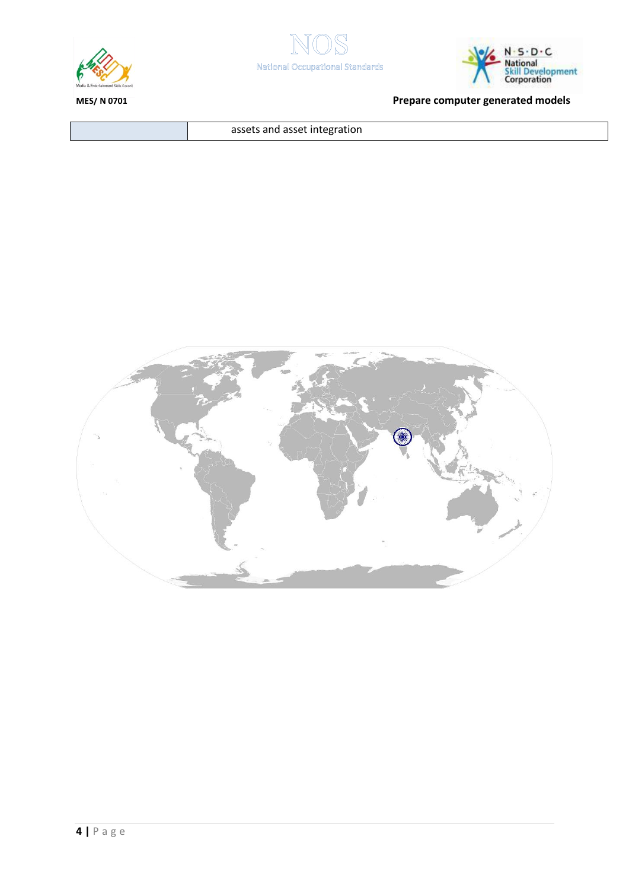





assets and asset integration

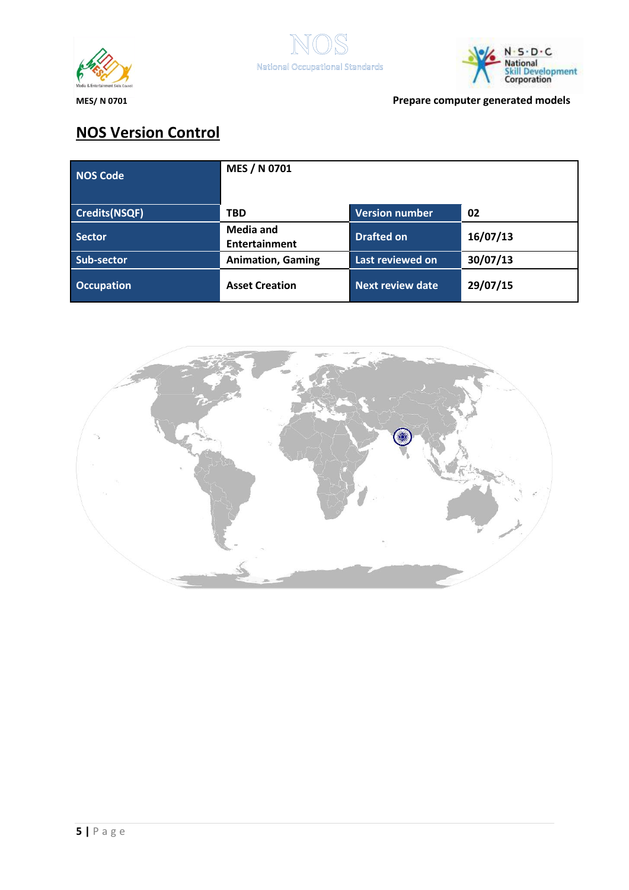



# **NOS Version Control**

| NOS Code             | MES / N 0701                             |                         |          |
|----------------------|------------------------------------------|-------------------------|----------|
| <b>Credits(NSQF)</b> | <b>TBD</b>                               | <b>Version number</b>   | 02       |
| <b>Sector</b>        | <b>Media and</b><br><b>Entertainment</b> | <b>Drafted on</b>       | 16/07/13 |
| Sub-sector           | <b>Animation, Gaming</b>                 | Last reviewed on        | 30/07/13 |
| <b>Occupation</b>    | <b>Asset Creation</b>                    | <b>Next review date</b> | 29/07/15 |

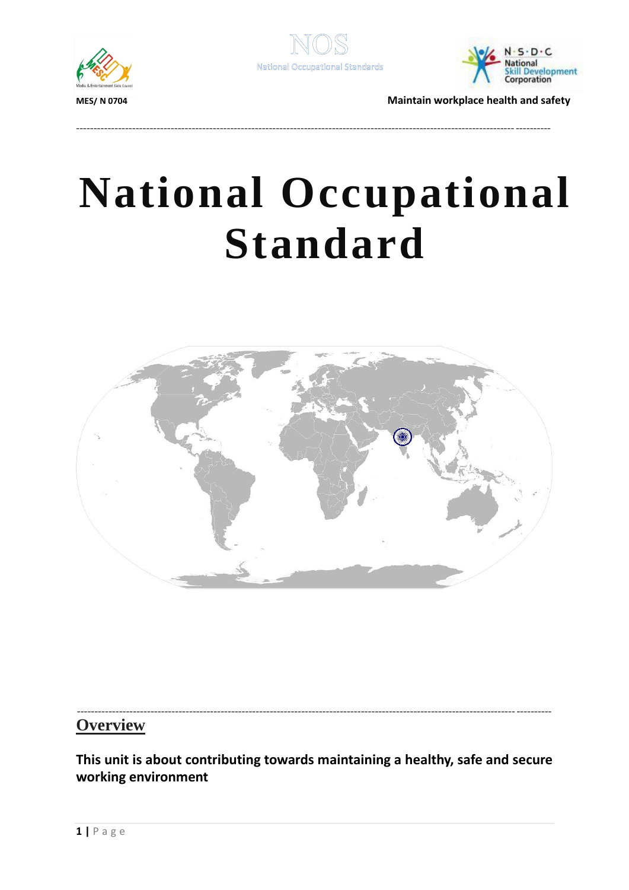



---------------------------------------------------------------------------------------------------------------------------------------



**MES/ N 0704 Maintain workplace health and safety**

# **National Occupational Standard**

<span id="page-9-0"></span>

#### --------------------------------------------------------------------------------------------------------------------------------------- **Overview**

**This unit is about contributing towards maintaining a healthy, safe and secure working environment**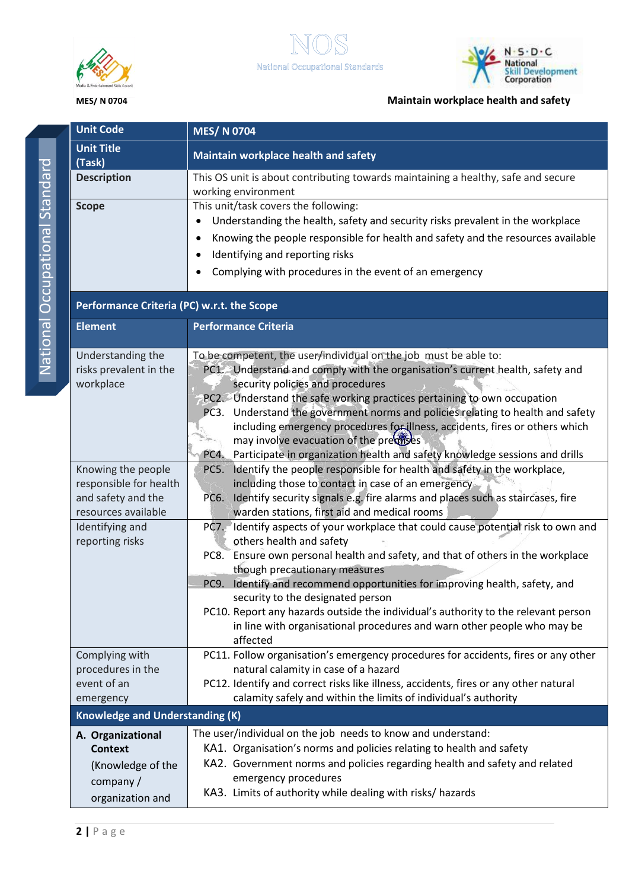



## **MES/ N 0704 Maintain workplace health and safety**

| <b>Unit Code</b>                                                                          | <b>MES/N 0704</b>                                                                                                                                                                                                                                                                                                                                                                                                                                                                                                                                                 |
|-------------------------------------------------------------------------------------------|-------------------------------------------------------------------------------------------------------------------------------------------------------------------------------------------------------------------------------------------------------------------------------------------------------------------------------------------------------------------------------------------------------------------------------------------------------------------------------------------------------------------------------------------------------------------|
| <b>Unit Title</b><br>(Task)                                                               | Maintain workplace health and safety                                                                                                                                                                                                                                                                                                                                                                                                                                                                                                                              |
| <b>Description</b>                                                                        | This OS unit is about contributing towards maintaining a healthy, safe and secure<br>working environment                                                                                                                                                                                                                                                                                                                                                                                                                                                          |
| <b>Scope</b>                                                                              | This unit/task covers the following:<br>Understanding the health, safety and security risks prevalent in the workplace<br>Knowing the people responsible for health and safety and the resources available<br>Identifying and reporting risks<br>Complying with procedures in the event of an emergency                                                                                                                                                                                                                                                           |
| Performance Criteria (PC) w.r.t. the Scope                                                |                                                                                                                                                                                                                                                                                                                                                                                                                                                                                                                                                                   |
| <b>Element</b>                                                                            | <b>Performance Criteria</b>                                                                                                                                                                                                                                                                                                                                                                                                                                                                                                                                       |
| Understanding the<br>risks prevalent in the<br>workplace                                  | To be competent, the user/individual on the job must be able to:<br>PC1. Understand and comply with the organisation's current health, safety and<br>security policies and procedures<br>PC2. Understand the safe working practices pertaining to own occupation<br>PC3. Understand the government norms and policies relating to health and safety<br>including emergency procedures for illness, accidents, fires or others which<br>may involve evacuation of the previses<br>PC4. Participate in organization health and safety knowledge sessions and drills |
| Knowing the people<br>responsible for health<br>and safety and the<br>resources available | PC5. Identify the people responsible for health and safety in the workplace,<br>including those to contact in case of an emergency<br>Identify security signals e.g. fire alarms and places such as staircases, fire<br>PC6.<br>warden stations, first aid and medical rooms                                                                                                                                                                                                                                                                                      |
| Identifying and<br>reporting risks                                                        | PC7. Identify aspects of your workplace that could cause potential risk to own and<br>others health and safety<br>PC8. Ensure own personal health and safety, and that of others in the workplace<br>though precautionary measures<br>PC9. Identify and recommend opportunities for improving health, safety, and<br>security to the designated person<br>PC10. Report any hazards outside the individual's authority to the relevant person<br>in line with organisational procedures and warn other people who may be<br>affected                               |
| Complying with<br>procedures in the<br>event of an<br>emergency                           | PC11. Follow organisation's emergency procedures for accidents, fires or any other<br>natural calamity in case of a hazard<br>PC12. Identify and correct risks like illness, accidents, fires or any other natural<br>calamity safely and within the limits of individual's authority                                                                                                                                                                                                                                                                             |
| <b>Knowledge and Understanding (K)</b>                                                    |                                                                                                                                                                                                                                                                                                                                                                                                                                                                                                                                                                   |
| A. Organizational<br><b>Context</b><br>(Knowledge of the<br>company/<br>organization and  | The user/individual on the job needs to know and understand:<br>KA1. Organisation's norms and policies relating to health and safety<br>KA2. Government norms and policies regarding health and safety and related<br>emergency procedures<br>KA3. Limits of authority while dealing with risks/ hazards                                                                                                                                                                                                                                                          |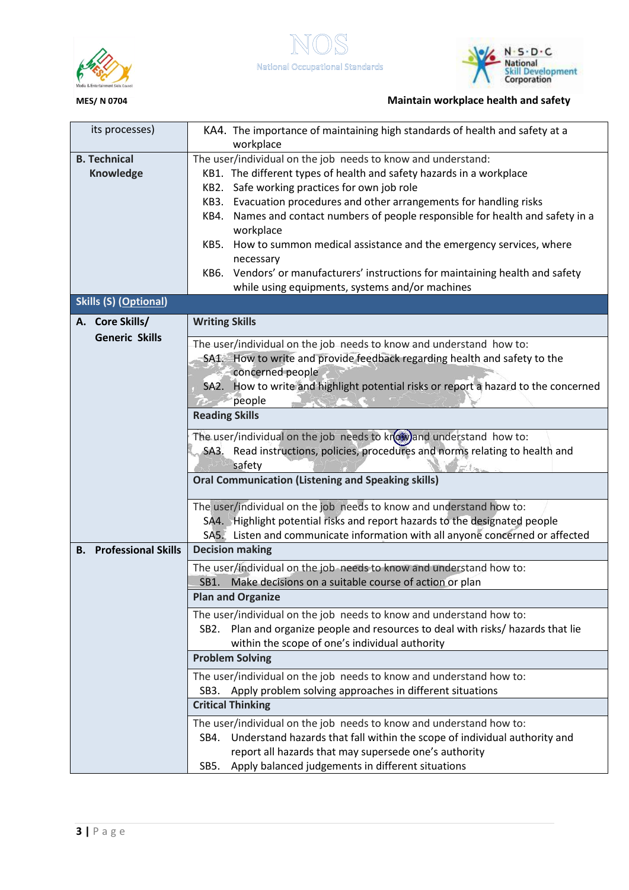



## **MES/ N 0704 Maintain workplace health and safety**

| its processes)                                                                | KA4. The importance of maintaining high standards of health and safety at a<br>workplace                                                                                   |  |  |  |
|-------------------------------------------------------------------------------|----------------------------------------------------------------------------------------------------------------------------------------------------------------------------|--|--|--|
| <b>B. Technical</b>                                                           | The user/individual on the job needs to know and understand:                                                                                                               |  |  |  |
| <b>Knowledge</b>                                                              | KB1. The different types of health and safety hazards in a workplace                                                                                                       |  |  |  |
|                                                                               | Safe working practices for own job role<br>KB2.                                                                                                                            |  |  |  |
|                                                                               | Evacuation procedures and other arrangements for handling risks<br>KB3.<br>Names and contact numbers of people responsible for health and safety in a<br>KB4.<br>workplace |  |  |  |
|                                                                               |                                                                                                                                                                            |  |  |  |
|                                                                               |                                                                                                                                                                            |  |  |  |
|                                                                               | KB5.<br>How to summon medical assistance and the emergency services, where                                                                                                 |  |  |  |
|                                                                               | necessary                                                                                                                                                                  |  |  |  |
|                                                                               | Vendors' or manufacturers' instructions for maintaining health and safety<br>KB6.                                                                                          |  |  |  |
|                                                                               | while using equipments, systems and/or machines                                                                                                                            |  |  |  |
| <b>Skills (S) (Optional)</b>                                                  |                                                                                                                                                                            |  |  |  |
| A. Core Skills/<br><b>Generic Skills</b>                                      | <b>Writing Skills</b>                                                                                                                                                      |  |  |  |
|                                                                               | The user/individual on the job needs to know and understand how to:                                                                                                        |  |  |  |
|                                                                               | SA1. How to write and provide feedback regarding health and safety to the                                                                                                  |  |  |  |
|                                                                               | concerned people                                                                                                                                                           |  |  |  |
|                                                                               | SA2. How to write and highlight potential risks or report a hazard to the concerned                                                                                        |  |  |  |
|                                                                               | people                                                                                                                                                                     |  |  |  |
|                                                                               | <b>Reading Skills</b>                                                                                                                                                      |  |  |  |
|                                                                               | The user/individual on the job needs to krew) and understand how to:                                                                                                       |  |  |  |
|                                                                               | SA3. Read instructions, policies, procedures and norms relating to health and                                                                                              |  |  |  |
|                                                                               | safety                                                                                                                                                                     |  |  |  |
|                                                                               | <b>Oral Communication (Listening and Speaking skills)</b>                                                                                                                  |  |  |  |
|                                                                               | The user/individual on the job needs to know and understand how to:                                                                                                        |  |  |  |
|                                                                               | SA4. Highlight potential risks and report hazards to the designated people                                                                                                 |  |  |  |
| SA5. Listen and communicate information with all anyone concerned or affected |                                                                                                                                                                            |  |  |  |
| <b>B.</b> Professional Skills                                                 | <b>Decision making</b>                                                                                                                                                     |  |  |  |
|                                                                               | The user/individual on the job needs to know and understand how to:                                                                                                        |  |  |  |
|                                                                               | SB1. Make decisions on a suitable course of action or plan                                                                                                                 |  |  |  |
|                                                                               | <b>Plan and Organize</b>                                                                                                                                                   |  |  |  |
|                                                                               | The user/individual on the job needs to know and understand how to:                                                                                                        |  |  |  |
|                                                                               | Plan and organize people and resources to deal with risks/ hazards that lie<br>SB2.                                                                                        |  |  |  |
|                                                                               | within the scope of one's individual authority                                                                                                                             |  |  |  |
|                                                                               | <b>Problem Solving</b>                                                                                                                                                     |  |  |  |
|                                                                               | The user/individual on the job needs to know and understand how to:                                                                                                        |  |  |  |
|                                                                               | Apply problem solving approaches in different situations<br>SB <sub>3</sub> .                                                                                              |  |  |  |
|                                                                               | <b>Critical Thinking</b>                                                                                                                                                   |  |  |  |
|                                                                               | The user/individual on the job needs to know and understand how to:                                                                                                        |  |  |  |
|                                                                               | Understand hazards that fall within the scope of individual authority and<br>SB4.                                                                                          |  |  |  |
|                                                                               | report all hazards that may supersede one's authority                                                                                                                      |  |  |  |
|                                                                               | Apply balanced judgements in different situations<br>SB5.                                                                                                                  |  |  |  |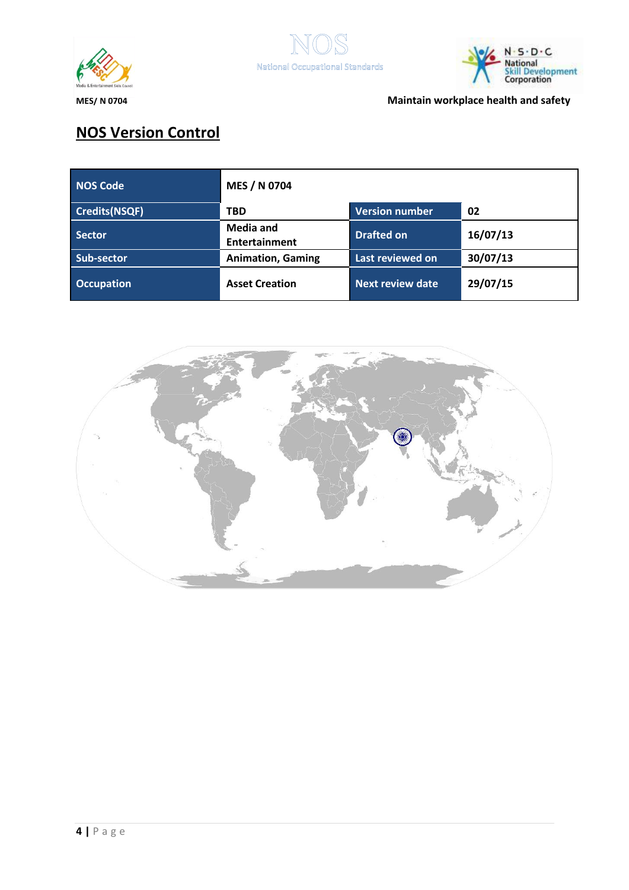



**MES/ N 0704 Maintain workplace health and safety**

# **NOS Version Control**

| <b>NOS Code</b>      | MES / N 0704                      |                         |          |
|----------------------|-----------------------------------|-------------------------|----------|
| <b>Credits(NSQF)</b> | <b>TBD</b>                        | <b>Version number</b>   | 02       |
| Sector               | <b>Media and</b><br>Entertainment | <b>Drafted on</b>       | 16/07/13 |
| Sub-sector           | <b>Animation, Gaming</b>          | Last reviewed on        | 30/07/13 |
| <b>Occupation</b>    | <b>Asset Creation</b>             | <b>Next review date</b> | 29/07/15 |

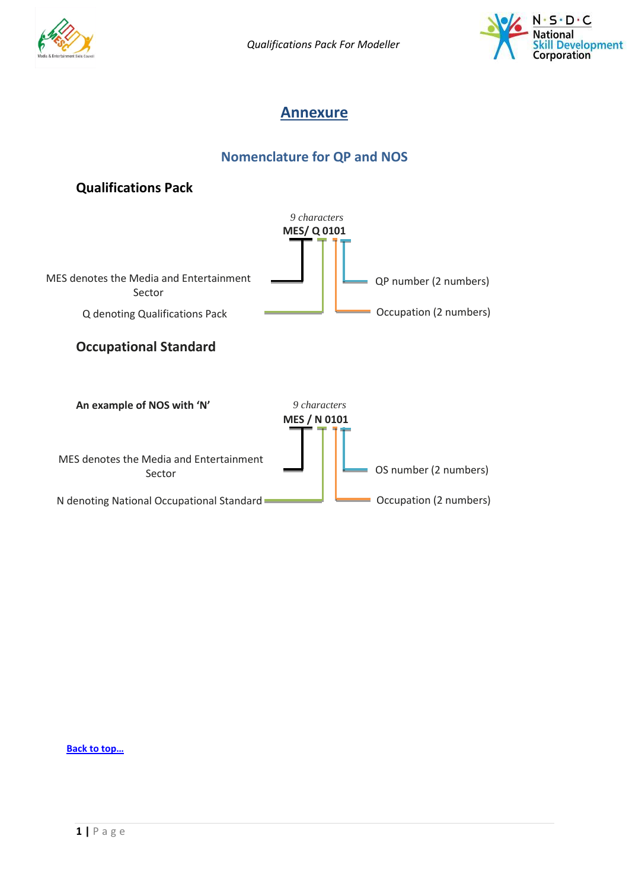<span id="page-13-0"></span>

*Qualifications Pack For Modeller*



## **Annexure**

## **Nomenclature for QP and NOS**



**[Back to top…](#page-0-1)**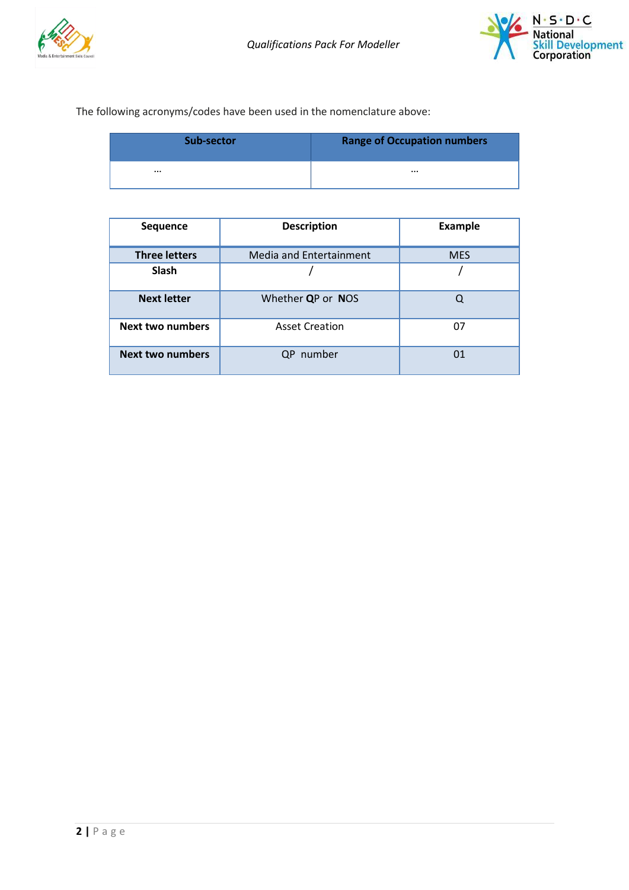



### The following acronyms/codes have been used in the nomenclature above:

| Sub-sector | <b>Range of Occupation numbers</b> |
|------------|------------------------------------|
|            |                                    |

| <b>Sequence</b>         | <b>Description</b>      | <b>Example</b> |
|-------------------------|-------------------------|----------------|
| <b>Three letters</b>    | Media and Entertainment | <b>MES</b>     |
| <b>Slash</b>            |                         |                |
| <b>Next letter</b>      | Whether QP or NOS       | Q              |
| <b>Next two numbers</b> | <b>Asset Creation</b>   | 07             |
| <b>Next two numbers</b> | number<br>0P            | 01             |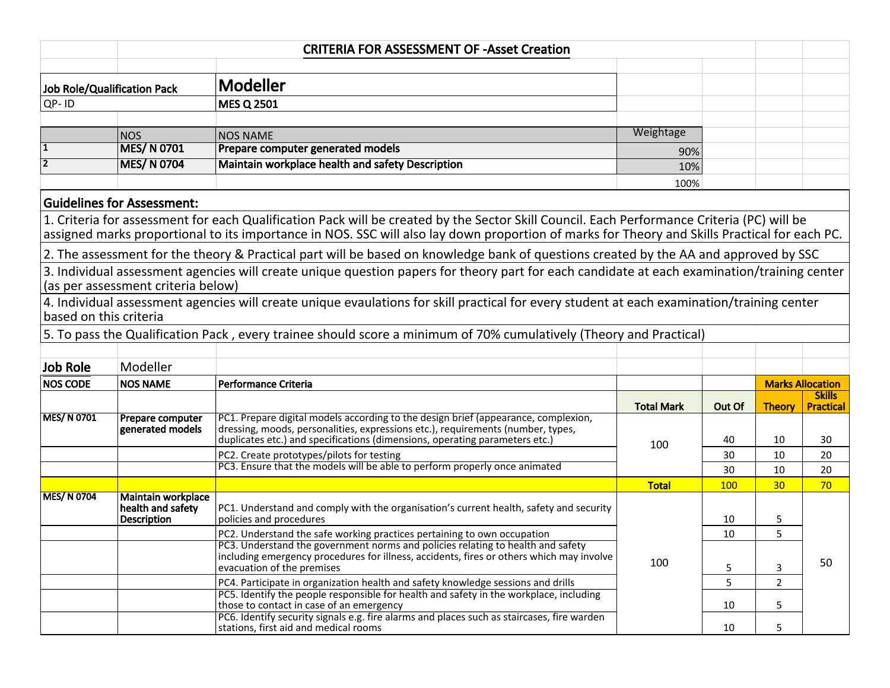| <b>CRITERIA FOR ASSESSMENT OF -Asset Creation</b> |                                                                            |                                                                                                                                                                |                   |            |                         |                                   |
|---------------------------------------------------|----------------------------------------------------------------------------|----------------------------------------------------------------------------------------------------------------------------------------------------------------|-------------------|------------|-------------------------|-----------------------------------|
|                                                   |                                                                            |                                                                                                                                                                |                   |            |                         |                                   |
| <b>Job Role/Qualification Pack</b>                |                                                                            | Modeller                                                                                                                                                       |                   |            |                         |                                   |
| QP-ID                                             |                                                                            | <b>MES Q 2501</b>                                                                                                                                              |                   |            |                         |                                   |
|                                                   |                                                                            |                                                                                                                                                                |                   |            |                         |                                   |
|                                                   | <b>NOS</b>                                                                 | <b>NOS NAME</b>                                                                                                                                                | Weightage         |            |                         |                                   |
|                                                   | <b>MES/N 0701</b>                                                          | Prepare computer generated models                                                                                                                              | 90%               |            |                         |                                   |
| 2                                                 | <b>MES/N 0704</b>                                                          | Maintain workplace health and safety Description                                                                                                               | 10%               |            |                         |                                   |
|                                                   |                                                                            |                                                                                                                                                                | 100%              |            |                         |                                   |
|                                                   | <b>Guidelines for Assessment:</b>                                          |                                                                                                                                                                |                   |            |                         |                                   |
|                                                   |                                                                            | 1. Criteria for assessment for each Qualification Pack will be created by the Sector Skill Council. Each Performance Criteria (PC) will be                     |                   |            |                         |                                   |
|                                                   |                                                                            | assigned marks proportional to its importance in NOS. SSC will also lay down proportion of marks for Theory and Skills Practical for each PC.                  |                   |            |                         |                                   |
|                                                   |                                                                            | 2. The assessment for the theory & Practical part will be based on knowledge bank of questions created by the AA and approved by SSC                           |                   |            |                         |                                   |
|                                                   |                                                                            | 3. Individual assessment agencies will create unique question papers for theory part for each candidate at each examination/training center                    |                   |            |                         |                                   |
|                                                   | (as per assessment criteria below)                                         |                                                                                                                                                                |                   |            |                         |                                   |
|                                                   |                                                                            | 4. Individual assessment agencies will create unique evaulations for skill practical for every student at each examination/training center                     |                   |            |                         |                                   |
| based on this criteria                            |                                                                            |                                                                                                                                                                |                   |            |                         |                                   |
|                                                   |                                                                            | 5. To pass the Qualification Pack, every trainee should score a minimum of 70% cumulatively (Theory and Practical)                                             |                   |            |                         |                                   |
|                                                   |                                                                            |                                                                                                                                                                |                   |            |                         |                                   |
| <b>Job Role</b>                                   | Modeller                                                                   |                                                                                                                                                                |                   |            |                         |                                   |
| <b>NOS CODE</b>                                   | <b>NOS NAME</b>                                                            | Performance Criteria                                                                                                                                           |                   |            | <b>Marks Allocation</b> |                                   |
|                                                   |                                                                            |                                                                                                                                                                | <b>Total Mark</b> | Out Of     | <b>Theory</b>           | <b>Skills</b><br><b>Practical</b> |
| <b>MES/N 0701</b>                                 | Prepare computer                                                           | PC1. Prepare digital models according to the design brief (appearance, complexion,                                                                             | 100               |            |                         |                                   |
|                                                   | generated models                                                           | dressing, moods, personalities, expressions etc.), requirements (number, types,<br>duplicates etc.) and specifications (dimensions, operating parameters etc.) |                   | 40         | 10                      | 30                                |
|                                                   |                                                                            | PC2. Create prototypes/pilots for testing                                                                                                                      |                   | 30         | 10                      | 20                                |
|                                                   | PC3. Ensure that the models will be able to perform properly once animated |                                                                                                                                                                | 30                | 10         | 20                      |                                   |
|                                                   |                                                                            |                                                                                                                                                                | <b>Total</b>      | <b>100</b> | 30                      | 70                                |
| <b>MES/N 0704</b>                                 | <b>Maintain workplace</b>                                                  |                                                                                                                                                                |                   |            |                         |                                   |
|                                                   | health and safety<br><b>Description</b>                                    | PC1. Understand and comply with the organisation's current health, safety and security<br>policies and procedures                                              |                   | 10         | 5                       |                                   |
|                                                   |                                                                            | PC2. Understand the safe working practices pertaining to own occupation                                                                                        |                   | 10         | 5                       |                                   |
|                                                   |                                                                            | PC3. Understand the government norms and policies relating to health and safety                                                                                |                   |            |                         |                                   |
|                                                   |                                                                            | including emergency procedures for illness, accidents, fires or others which may involve<br>evacuation of the premises                                         | 100               | 5          | 3                       | 50                                |
|                                                   |                                                                            | PC4. Participate in organization health and safety knowledge sessions and drills                                                                               |                   | 5          | $2^{\circ}$             |                                   |
|                                                   |                                                                            | PC5. Identify the people responsible for health and safety in the workplace, including                                                                         |                   |            |                         |                                   |
|                                                   |                                                                            | those to contact in case of an emergency<br>PC6. Identify security signals e.g. fire alarms and places such as staircases, fire warden                         |                   | 10         | 5                       |                                   |
|                                                   |                                                                            | stations, first aid and medical rooms                                                                                                                          |                   | 10         | 5                       |                                   |